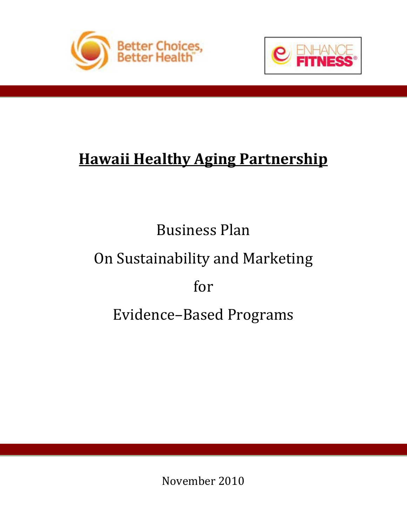



# **Hawaii Healthy Aging Partnership**

# Business Plan On Sustainability and Marketing for Evidence–Based Programs

November 2010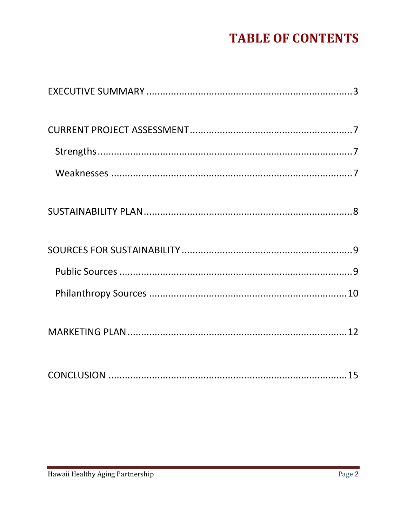## **TABLE OF CONTENTS**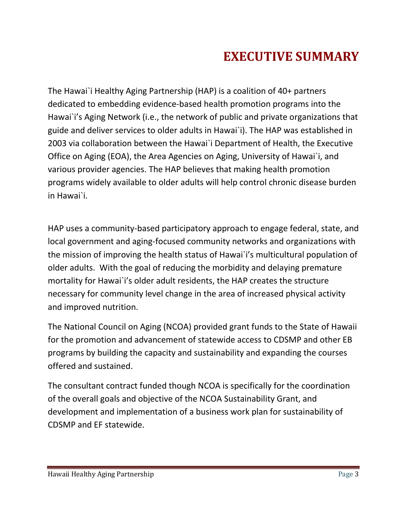## **EXECUTIVE SUMMARY**

<span id="page-2-0"></span>The Hawai`i Healthy Aging Partnership (HAP) is a coalition of 40+ partners dedicated to embedding evidence-based health promotion programs into the Hawai`i's Aging Network (i.e., the network of public and private organizations that guide and deliver services to older adults in Hawai`i). The HAP was established in 2003 via collaboration between the Hawai`i Department of Health, the Executive Office on Aging (EOA), the Area Agencies on Aging, University of Hawai`i, and various provider agencies. The HAP believes that making health promotion programs widely available to older adults will help control chronic disease burden in Hawai`i.

HAP uses a community-based participatory approach to engage federal, state, and local government and aging-focused community networks and organizations with the mission of improving the health status of Hawai`i's multicultural population of older adults. With the goal of reducing the morbidity and delaying premature mortality for Hawai`i's older adult residents, the HAP creates the structure necessary for community level change in the area of increased physical activity and improved nutrition.

The National Council on Aging (NCOA) provided grant funds to the State of Hawaii for the promotion and advancement of statewide access to CDSMP and other EB programs by building the capacity and sustainability and expanding the courses offered and sustained.

The consultant contract funded though NCOA is specifically for the coordination of the overall goals and objective of the NCOA Sustainability Grant, and development and implementation of a business work plan for sustainability of CDSMP and EF statewide.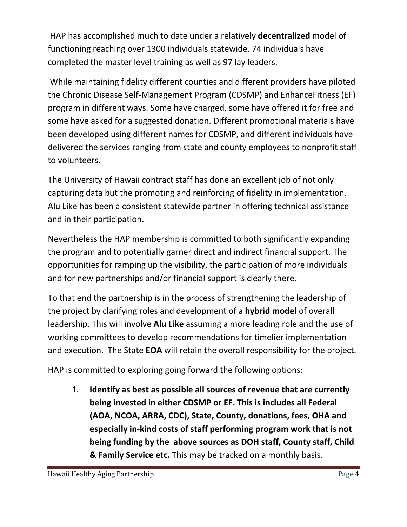HAP has accomplished much to date under a relatively **decentralized** model of functioning reaching over 1300 individuals statewide. 74 individuals have completed the master level training as well as 97 lay leaders.

While maintaining fidelity different counties and different providers have piloted the Chronic Disease Self-Management Program (CDSMP) and EnhanceFitness (EF) program in different ways. Some have charged, some have offered it for free and some have asked for a suggested donation. Different promotional materials have been developed using different names for CDSMP, and different individuals have delivered the services ranging from state and county employees to nonprofit staff to volunteers.

The University of Hawaii contract staff has done an excellent job of not only capturing data but the promoting and reinforcing of fidelity in implementation. Alu Like has been a consistent statewide partner in offering technical assistance and in their participation.

Nevertheless the HAP membership is committed to both significantly expanding the program and to potentially garner direct and indirect financial support. The opportunities for ramping up the visibility, the participation of more individuals and for new partnerships and/or financial support is clearly there.

To that end the partnership is in the process of strengthening the leadership of the project by clarifying roles and development of a **hybrid model** of overall leadership. This will involve **Alu Like** assuming a more leading role and the use of working committees to develop recommendations for timelier implementation and execution. The State **EOA** will retain the overall responsibility for the project.

HAP is committed to exploring going forward the following options:

1. **Identify as best as possible all sources of revenue that are currently being invested in either CDSMP or EF. This is includes all Federal (AOA, NCOA, ARRA, CDC), State, County, donations, fees, OHA and especially in-kind costs of staff performing program work that is not being funding by the above sources as DOH staff, County staff, Child & Family Service etc.** This may be tracked on a monthly basis.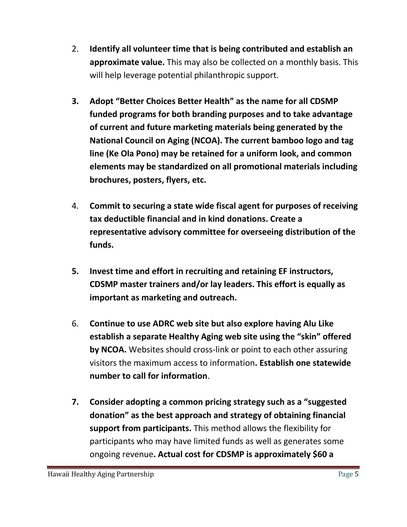- 2. **Identify all volunteer time that is being contributed and establish an approximate value.** This may also be collected on a monthly basis. This will help leverage potential philanthropic support.
- **3. Adopt "Better Choices Better Health" as the name for all CDSMP funded programs for both branding purposes and to take advantage of current and future marketing materials being generated by the National Council on Aging (NCOA). The current bamboo logo and tag line (Ke Ola Pono) may be retained for a uniform look, and common elements may be standardized on all promotional materials including brochures, posters, flyers, etc.**
- 4. **Commit to securing a state wide fiscal agent for purposes of receiving tax deductible financial and in kind donations. Create a representative advisory committee for overseeing distribution of the funds.**
- **5. Invest time and effort in recruiting and retaining EF instructors, CDSMP master trainers and/or lay leaders. This effort is equally as important as marketing and outreach.**
- 6. **Continue to use ADRC web site but also explore having Alu Like establish a separate Healthy Aging web site using the "skin" offered by NCOA.** Websites should cross-link or point to each other assuring visitors the maximum access to information**. Establish one statewide number to call for information**.
- **7. Consider adopting a common pricing strategy such as a "suggested donation" as the best approach and strategy of obtaining financial support from participants.** This method allows the flexibility for participants who may have limited funds as well as generates some ongoing revenue**. Actual cost for CDSMP is approximately \$60 a**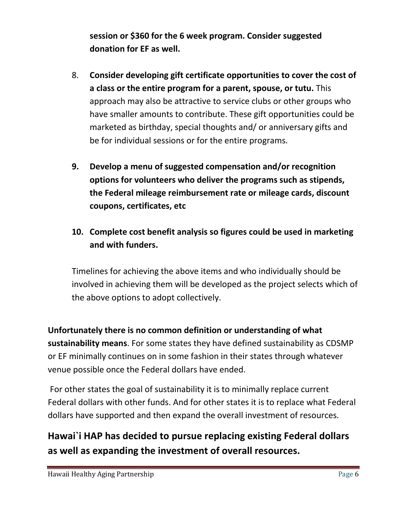**session or \$360 for the 6 week program. Consider suggested donation for EF as well.**

- 8. **Consider developing gift certificate opportunities to cover the cost of a class or the entire program for a parent, spouse, or tutu.** This approach may also be attractive to service clubs or other groups who have smaller amounts to contribute. These gift opportunities could be marketed as birthday, special thoughts and/ or anniversary gifts and be for individual sessions or for the entire programs.
- **9. Develop a menu of suggested compensation and/or recognition options for volunteers who deliver the programs such as stipends, the Federal mileage reimbursement rate or mileage cards, discount coupons, certificates, etc**
- **10. Complete cost benefit analysis so figures could be used in marketing and with funders.**

Timelines for achieving the above items and who individually should be involved in achieving them will be developed as the project selects which of the above options to adopt collectively.

**Unfortunately there is no common definition or understanding of what sustainability means**. For some states they have defined sustainability as CDSMP or EF minimally continues on in some fashion in their states through whatever venue possible once the Federal dollars have ended.

For other states the goal of sustainability it is to minimally replace current Federal dollars with other funds. And for other states it is to replace what Federal dollars have supported and then expand the overall investment of resources.

#### **Hawai`i HAP has decided to pursue replacing existing Federal dollars as well as expanding the investment of overall resources.**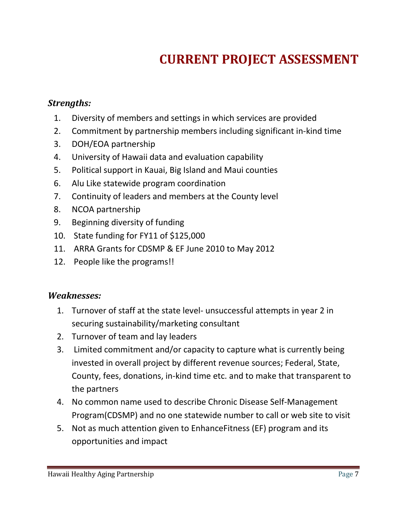## **CURRENT PROJECT ASSESSMENT**

#### <span id="page-6-1"></span><span id="page-6-0"></span>*Strengths:*

- 1. Diversity of members and settings in which services are provided
- 2. Commitment by partnership members including significant in-kind time
- 3. DOH/EOA partnership
- 4. University of Hawaii data and evaluation capability
- 5. Political support in Kauai, Big Island and Maui counties
- 6. Alu Like statewide program coordination
- 7. Continuity of leaders and members at the County level
- 8. NCOA partnership
- 9. Beginning diversity of funding
- 10. State funding for FY11 of \$125,000
- 11. ARRA Grants for CDSMP & EF June 2010 to May 2012
- 12. People like the programs!!

#### <span id="page-6-2"></span>*Weaknesses:*

- 1. Turnover of staff at the state level- unsuccessful attempts in year 2 in securing sustainability/marketing consultant
- 2. Turnover of team and lay leaders
- 3. Limited commitment and/or capacity to capture what is currently being invested in overall project by different revenue sources; Federal, State, County, fees, donations, in-kind time etc. and to make that transparent to the partners
- 4. No common name used to describe Chronic Disease Self-Management Program(CDSMP) and no one statewide number to call or web site to visit
- 5. Not as much attention given to EnhanceFitness (EF) program and its opportunities and impact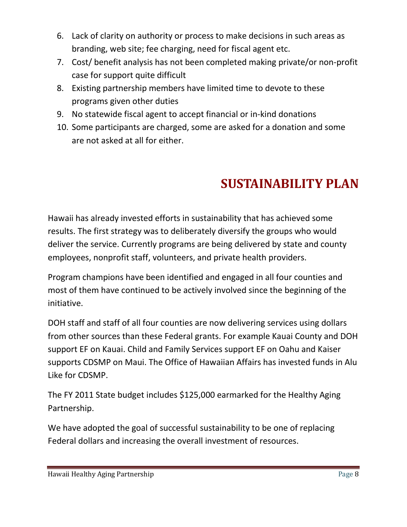- 6. Lack of clarity on authority or process to make decisions in such areas as branding, web site; fee charging, need for fiscal agent etc.
- 7. Cost/ benefit analysis has not been completed making private/or non-profit case for support quite difficult
- 8. Existing partnership members have limited time to devote to these programs given other duties
- 9. No statewide fiscal agent to accept financial or in-kind donations
- 10. Some participants are charged, some are asked for a donation and some are not asked at all for either.

# **SUSTAINABILITY PLAN**

<span id="page-7-0"></span>Hawaii has already invested efforts in sustainability that has achieved some results. The first strategy was to deliberately diversify the groups who would deliver the service. Currently programs are being delivered by state and county employees, nonprofit staff, volunteers, and private health providers.

Program champions have been identified and engaged in all four counties and most of them have continued to be actively involved since the beginning of the initiative.

DOH staff and staff of all four counties are now delivering services using dollars from other sources than these Federal grants. For example Kauai County and DOH support EF on Kauai. Child and Family Services support EF on Oahu and Kaiser supports CDSMP on Maui. The Office of Hawaiian Affairs has invested funds in Alu Like for CDSMP.

The FY 2011 State budget includes \$125,000 earmarked for the Healthy Aging Partnership.

We have adopted the goal of successful sustainability to be one of replacing Federal dollars and increasing the overall investment of resources.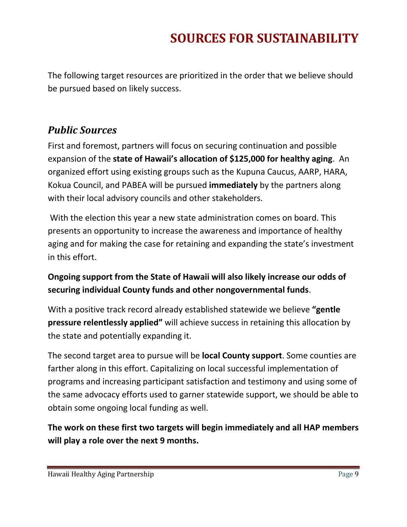### **SOURCES FOR SUSTAINABILITY**

<span id="page-8-0"></span>The following target resources are prioritized in the order that we believe should be pursued based on likely success.

#### <span id="page-8-1"></span>*Public Sources*

First and foremost, partners will focus on securing continuation and possible expansion of the **state of Hawaii's allocation of \$125,000 for healthy aging**. An organized effort using existing groups such as the Kupuna Caucus, AARP, HARA, Kokua Council, and PABEA will be pursued **immediately** by the partners along with their local advisory councils and other stakeholders.

With the election this year a new state administration comes on board. This presents an opportunity to increase the awareness and importance of healthy aging and for making the case for retaining and expanding the state's investment in this effort.

#### **Ongoing support from the State of Hawaii will also likely increase our odds of securing individual County funds and other nongovernmental funds**.

With a positive track record already established statewide we believe **"gentle pressure relentlessly applied"** will achieve success in retaining this allocation by the state and potentially expanding it.

The second target area to pursue will be **local County support**. Some counties are farther along in this effort. Capitalizing on local successful implementation of programs and increasing participant satisfaction and testimony and using some of the same advocacy efforts used to garner statewide support, we should be able to obtain some ongoing local funding as well.

**The work on these first two targets will begin immediately and all HAP members will play a role over the next 9 months.**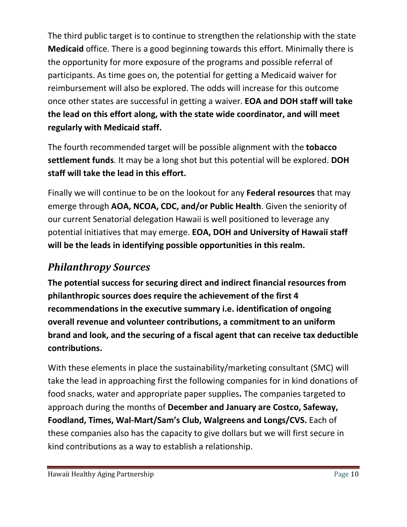The third public target is to continue to strengthen the relationship with the state **Medicaid** office. There is a good beginning towards this effort. Minimally there is the opportunity for more exposure of the programs and possible referral of participants. As time goes on, the potential for getting a Medicaid waiver for reimbursement will also be explored. The odds will increase for this outcome once other states are successful in getting a waiver. **EOA and DOH staff will take the lead on this effort along, with the state wide coordinator, and will meet regularly with Medicaid staff.**

The fourth recommended target will be possible alignment with the **tobacco settlement funds**. It may be a long shot but this potential will be explored. **DOH staff will take the lead in this effort.**

Finally we will continue to be on the lookout for any **Federal resources** that may emerge through **AOA, NCOA, CDC, and/or Public Health**. Given the seniority of our current Senatorial delegation Hawaii is well positioned to leverage any potential initiatives that may emerge. **EOA, DOH and University of Hawaii staff will be the leads in identifying possible opportunities in this realm.**

#### <span id="page-9-0"></span>*Philanthropy Sources*

**The potential success for securing direct and indirect financial resources from philanthropic sources does require the achievement of the first 4 recommendations in the executive summary i.e. identification of ongoing overall revenue and volunteer contributions, a commitment to an uniform brand and look, and the securing of a fiscal agent that can receive tax deductible contributions.**

With these elements in place the sustainability/marketing consultant (SMC) will take the lead in approaching first the following companies for in kind donations of food snacks, water and appropriate paper supplies**.** The companies targeted to approach during the months of **December and January are Costco, Safeway, Foodland, Times, Wal-Mart/Sam's Club, Walgreens and Longs/CVS.** Each of these companies also has the capacity to give dollars but we will first secure in kind contributions as a way to establish a relationship.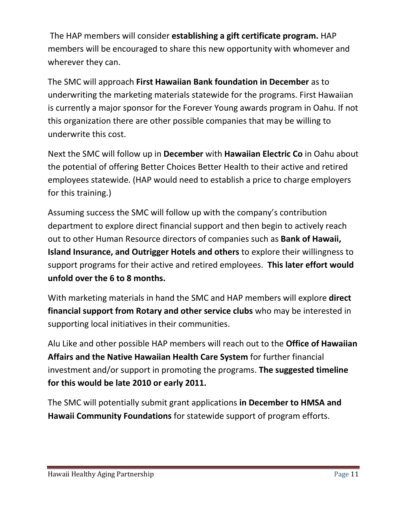The HAP members will consider **establishing a gift certificate program.** HAP members will be encouraged to share this new opportunity with whomever and wherever they can.

The SMC will approach **First Hawaiian Bank foundation in December** as to underwriting the marketing materials statewide for the programs. First Hawaiian is currently a major sponsor for the Forever Young awards program in Oahu. If not this organization there are other possible companies that may be willing to underwrite this cost.

Next the SMC will follow up in **December** with **Hawaiian Electric Co** in Oahu about the potential of offering Better Choices Better Health to their active and retired employees statewide. (HAP would need to establish a price to charge employers for this training.)

Assuming success the SMC will follow up with the company's contribution department to explore direct financial support and then begin to actively reach out to other Human Resource directors of companies such as **Bank of Hawaii, Island Insurance, and Outrigger Hotels and others** to explore their willingness to support programs for their active and retired employees. **This later effort would unfold over the 6 to 8 months.**

With marketing materials in hand the SMC and HAP members will explore **direct financial support from Rotary and other service clubs** who may be interested in supporting local initiatives in their communities.

Alu Like and other possible HAP members will reach out to the **Office of Hawaiian Affairs and the Native Hawaiian Health Care System** for further financial investment and/or support in promoting the programs. **The suggested timeline for this would be late 2010 or early 2011.**

The SMC will potentially submit grant applications **in December to HMSA and Hawaii Community Foundations** for statewide support of program efforts.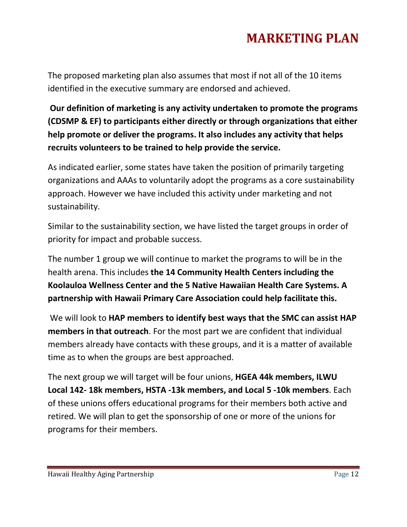## **MARKETING PLAN**

<span id="page-11-0"></span>The proposed marketing plan also assumes that most if not all of the 10 items identified in the executive summary are endorsed and achieved.

**Our definition of marketing is any activity undertaken to promote the programs (CDSMP & EF) to participants either directly or through organizations that either help promote or deliver the programs. It also includes any activity that helps recruits volunteers to be trained to help provide the service.**

As indicated earlier, some states have taken the position of primarily targeting organizations and AAAs to voluntarily adopt the programs as a core sustainability approach. However we have included this activity under marketing and not sustainability.

Similar to the sustainability section, we have listed the target groups in order of priority for impact and probable success.

The number 1 group we will continue to market the programs to will be in the health arena. This includes **the 14 Community Health Centers including the Koolauloa Wellness Center and the 5 Native Hawaiian Health Care Systems. A partnership with Hawaii Primary Care Association could help facilitate this.**

We will look to **HAP members to identify best ways that the SMC can assist HAP members in that outreach**. For the most part we are confident that individual members already have contacts with these groups, and it is a matter of available time as to when the groups are best approached.

The next group we will target will be four unions, **HGEA 44k members, ILWU Local 142- 18k members, HSTA -13k members, and Local 5 -10k members**. Each of these unions offers educational programs for their members both active and retired. We will plan to get the sponsorship of one or more of the unions for programs for their members.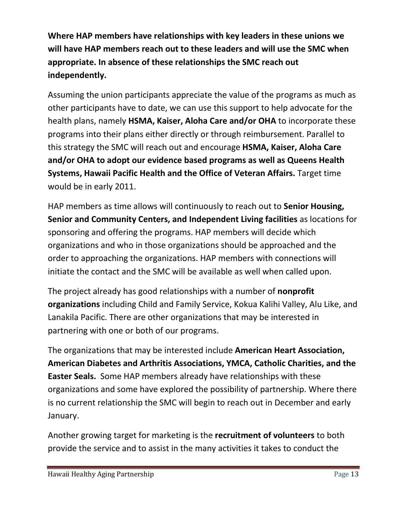**Where HAP members have relationships with key leaders in these unions we will have HAP members reach out to these leaders and will use the SMC when appropriate. In absence of these relationships the SMC reach out independently.**

Assuming the union participants appreciate the value of the programs as much as other participants have to date, we can use this support to help advocate for the health plans, namely **HSMA, Kaiser, Aloha Care and/or OHA** to incorporate these programs into their plans either directly or through reimbursement. Parallel to this strategy the SMC will reach out and encourage **HSMA, Kaiser, Aloha Care and/or OHA to adopt our evidence based programs as well as Queens Health Systems, Hawaii Pacific Health and the Office of Veteran Affairs.** Target time would be in early 2011.

HAP members as time allows will continuously to reach out to **Senior Housing, Senior and Community Centers, and Independent Living facilities** as locations for sponsoring and offering the programs. HAP members will decide which organizations and who in those organizations should be approached and the order to approaching the organizations. HAP members with connections will initiate the contact and the SMC will be available as well when called upon.

The project already has good relationships with a number of **nonprofit organizations** including Child and Family Service, Kokua Kalihi Valley, Alu Like, and Lanakila Pacific. There are other organizations that may be interested in partnering with one or both of our programs.

The organizations that may be interested include **American Heart Association, American Diabetes and Arthritis Associations, YMCA, Catholic Charities, and the Easter Seals.** Some HAP members already have relationships with these organizations and some have explored the possibility of partnership. Where there is no current relationship the SMC will begin to reach out in December and early January.

Another growing target for marketing is the **recruitment of volunteers** to both provide the service and to assist in the many activities it takes to conduct the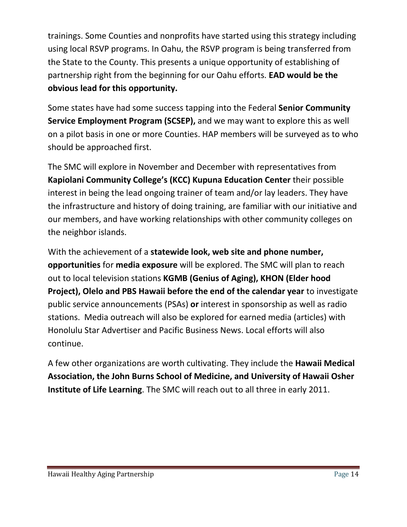trainings. Some Counties and nonprofits have started using this strategy including using local RSVP programs. In Oahu, the RSVP program is being transferred from the State to the County. This presents a unique opportunity of establishing of partnership right from the beginning for our Oahu efforts. **EAD would be the obvious lead for this opportunity.**

Some states have had some success tapping into the Federal **Senior Community Service Employment Program (SCSEP),** and we may want to explore this as well on a pilot basis in one or more Counties. HAP members will be surveyed as to who should be approached first.

The SMC will explore in November and December with representatives from **Kapiolani Community College's (KCC) Kupuna Education Center** their possible interest in being the lead ongoing trainer of team and/or lay leaders. They have the infrastructure and history of doing training, are familiar with our initiative and our members, and have working relationships with other community colleges on the neighbor islands.

With the achievement of a **statewide look, web site and phone number, opportunities** for **media exposure** will be explored. The SMC will plan to reach out to local television stations **KGMB (Genius of Aging), KHON (Elder hood Project), Olelo and PBS Hawaii before the end of the calendar year** to investigate public service announcements (PSAs) **or** interest in sponsorship as well as radio stations. Media outreach will also be explored for earned media (articles) with Honolulu Star Advertiser and Pacific Business News. Local efforts will also continue.

A few other organizations are worth cultivating. They include the **Hawaii Medical Association, the John Burns School of Medicine, and University of Hawaii Osher Institute of Life Learning**. The SMC will reach out to all three in early 2011.